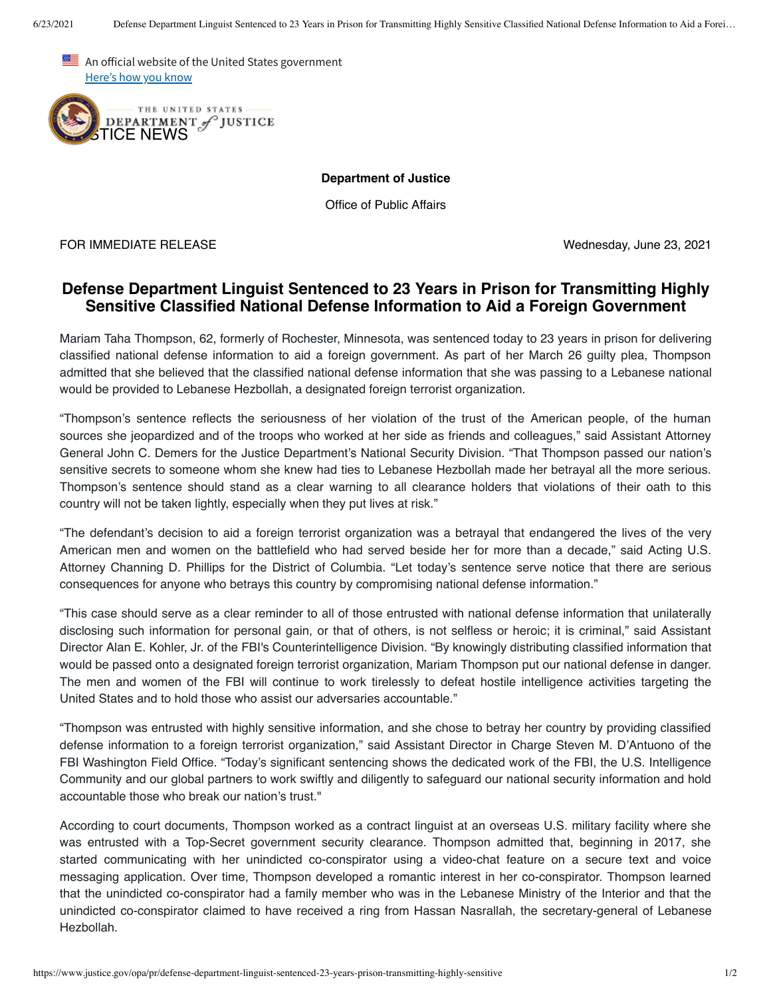An official website of the United States government Here's how you know



**Department of Justice**

Office of Public Affairs

FOR IMMEDIATE RELEASE Wednesday, June 23, 2021

## **Defense Department Linguist Sentenced to 23 Years in Prison for Transmitting Highly Sensitive Classified National Defense Information to Aid a Foreign Government**

Mariam Taha Thompson, 62, formerly of Rochester, Minnesota, was sentenced today to 23 years in prison for delivering classified national defense information to aid a foreign government. As part of her March 26 guilty plea, Thompson admitted that she believed that the classified national defense information that she was passing to a Lebanese national would be provided to Lebanese Hezbollah, a designated foreign terrorist organization.

"Thompson's sentence reflects the seriousness of her violation of the trust of the American people, of the human sources she jeopardized and of the troops who worked at her side as friends and colleagues," said Assistant Attorney General John C. Demers for the Justice Department's National Security Division. "That Thompson passed our nation's sensitive secrets to someone whom she knew had ties to Lebanese Hezbollah made her betrayal all the more serious. Thompson's sentence should stand as a clear warning to all clearance holders that violations of their oath to this country will not be taken lightly, especially when they put lives at risk."

"The defendant's decision to aid a foreign terrorist organization was a betrayal that endangered the lives of the very American men and women on the battlefield who had served beside her for more than a decade," said Acting U.S. Attorney Channing D. Phillips for the District of Columbia. "Let today's sentence serve notice that there are serious consequences for anyone who betrays this country by compromising national defense information."

"This case should serve as a clear reminder to all of those entrusted with national defense information that unilaterally disclosing such information for personal gain, or that of others, is not selfless or heroic; it is criminal," said Assistant Director Alan E. Kohler, Jr. of the FBI's Counterintelligence Division. "By knowingly distributing classified information that would be passed onto a designated foreign terrorist organization, Mariam Thompson put our national defense in danger. The men and women of the FBI will continue to work tirelessly to defeat hostile intelligence activities targeting the United States and to hold those who assist our adversaries accountable."

"Thompson was entrusted with highly sensitive information, and she chose to betray her country by providing classified defense information to a foreign terrorist organization," said Assistant Director in Charge Steven M. D'Antuono of the FBI Washington Field Office. "Today's significant sentencing shows the dedicated work of the FBI, the U.S. Intelligence Community and our global partners to work swiftly and diligently to safeguard our national security information and hold accountable those who break our nation's trust."

According to court documents, Thompson worked as a contract linguist at an overseas U.S. military facility where she was entrusted with a Top-Secret government security clearance. Thompson admitted that, beginning in 2017, she started communicating with her unindicted co-conspirator using a video-chat feature on a secure text and voice messaging application. Over time, Thompson developed a romantic interest in her co-conspirator. Thompson learned that the unindicted co-conspirator had a family member who was in the Lebanese Ministry of the Interior and that the unindicted co-conspirator claimed to have received a ring from Hassan Nasrallah, the secretary-general of Lebanese Hezbollah.